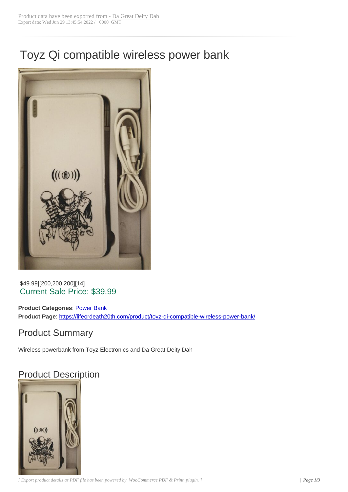# Toyz Qi compatible wireless power bank



#### \$49.99][200,200,200][14] Current Sale Price: \$39.99

**Product Categories: Power Bank Product Page**: https://lifeordeath20th.com/product/toyz-qi-compatible-wireless-power-bank/

### Product Sum[mary](https://lifeordeath20th.com/product-category/power-bank/)

Wireless power[bank from Toyz Electronics and Da Great Deity Dah](https://lifeordeath20th.com/product/toyz-qi-compatible-wireless-power-bank/)

## Product Description

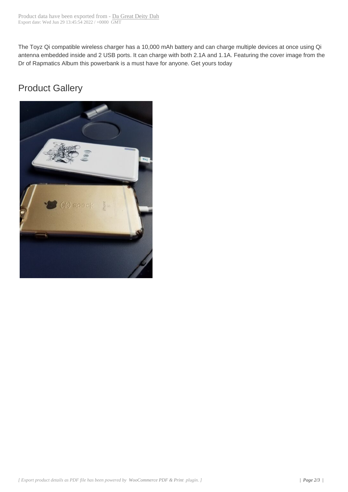The Toyz Qi compatible wireless ch[arger has a 10,000](http://lifeordeath20th.com/?post_type=product&p=545) mAh battery and can charge multiple devices at once using Qi antenna embedded inside and 2 USB ports. It can charge with both 2.1A and 1.1A. Featuring the cover image from the Dr of Rapmatics Album this powerbank is a must have for anyone. Get yours today

### Product Gallery